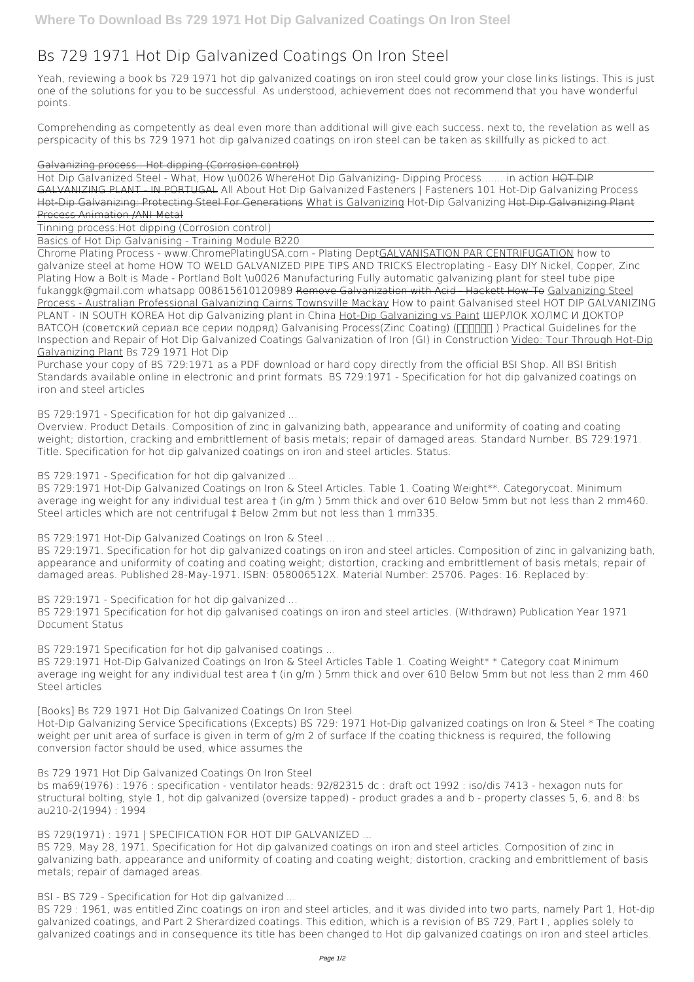# **Bs 729 1971 Hot Dip Galvanized Coatings On Iron Steel**

Yeah, reviewing a book **bs 729 1971 hot dip galvanized coatings on iron steel** could grow your close links listings. This is just one of the solutions for you to be successful. As understood, achievement does not recommend that you have wonderful points.

Comprehending as competently as deal even more than additional will give each success. next to, the revelation as well as perspicacity of this bs 729 1971 hot dip galvanized coatings on iron steel can be taken as skillfully as picked to act.

## Galvanizing process : Hot dipping (Corrosion control)

Hot Dip Galvanized Steel - What, How \u0026 Where**Hot Dip Galvanizing- Dipping Process....... in action** HOT DIP GALVANIZING PLANT - IN PORTUGAL All About Hot Dip Galvanized Fasteners | Fasteners 101 *Hot-Dip Galvanizing Process* Hot-Dip Galvanizing: Protecting Steel For Generations What is Galvanizing *Hot-Dip Galvanizing* Hot Dip Galvanizing Plant Process Animation /ANI Metal

Tinning process:Hot dipping (Corrosion control)

Basics of Hot Dip Galvanising - Training Module B220

Purchase your copy of BS 729:1971 as a PDF download or hard copy directly from the official BSI Shop. All BSI British Standards available online in electronic and print formats. BS 729:1971 - Specification for hot dip galvanized coatings on iron and steel articles

BS 729:1971 Hot-Dip Galvanized Coatings on Iron & Steel Articles. Table 1. Coating Weight\*\*. Categorycoat. Minimum average ing weight for any individual test area † (in g/m ) 5mm thick and over 610 Below 5mm but not less than 2 mm460. Steel articles which are not centrifugal  $\ddagger$  Below 2mm but not less than 1 mm335.

Chrome Plating Process - www.ChromePlatingUSA.com - Plating DeptGALVANISATION PAR CENTRIFUGATION how to galvanize steel at home **HOW TO WELD GALVANIZED PIPE TIPS AND TRICKS Electroplating - Easy DIY Nickel, Copper, Zinc Plating How a Bolt is Made - Portland Bolt \u0026 Manufacturing** *Fully automatic galvanizing plant for steel tube pipe fukanggk@gmail.com whatsapp 008615610120989* Remove Galvanization with Acid - Hackett How-To Galvanizing Steel Process - Australian Professional Galvanizing Cairns Townsville Mackay How to paint Galvanised steel HOT DIP GALVANIZING PLANT - IN SOUTH KOREA Hot dip Galvanizing plant in China Hot-Dip Galvanizing vs Paint ШЕРЛОК ХОЛМС И ДОКТОР ВАТСОН (советский сериал все серии подряд) Galvanising Process(Zinc Coating) (ППППП) Practical Guidelines for the Inspection and Repair of Hot Dip Galvanized Coatings Galvanization of Iron (GI) in Construction Video: Tour Through Hot-Dip Galvanizing Plant **Bs 729 1971 Hot Dip**

**BS 729:1971 - Specification for hot dip galvanized ...**

Overview. Product Details. Composition of zinc in galvanizing bath, appearance and uniformity of coating and coating weight; distortion, cracking and embrittlement of basis metals; repair of damaged areas. Standard Number. BS 729:1971. Title. Specification for hot dip galvanized coatings on iron and steel articles. Status.

**BS 729:1971 - Specification for hot dip galvanized ...**

**BS 729:1971 Hot-Dip Galvanized Coatings on Iron & Steel ...**

BS 729:1971. Specification for hot dip galvanized coatings on iron and steel articles. Composition of zinc in galvanizing bath, appearance and uniformity of coating and coating weight; distortion, cracking and embrittlement of basis metals; repair of damaged areas. Published 28-May-1971. ISBN: 058006512X. Material Number: 25706. Pages: 16. Replaced by:

**BS 729:1971 - Specification for hot dip galvanized ...**

BS 729:1971 Specification for hot dip galvanised coatings on iron and steel articles. (Withdrawn) Publication Year 1971 Document Status

**BS 729:1971 Specification for hot dip galvanised coatings ...**

BS 729:1971 Hot-Dip Galvanized Coatings on Iron & Steel Articles Table 1. Coating Weight\* \* Category coat Minimum average ing weight for any individual test area † (in g/m ) 5mm thick and over 610 Below 5mm but not less than 2 mm 460 Steel articles

**[Books] Bs 729 1971 Hot Dip Galvanized Coatings On Iron Steel**

Hot-Dip Galvanizing Service Specifications (Excepts) BS 729: 1971 Hot-Dip galvanized coatings on Iron & Steel \* The coating weight per unit area of surface is given in term of g/m 2 of surface If the coating thickness is required, the following

conversion factor should be used, whice assumes the

## **Bs 729 1971 Hot Dip Galvanized Coatings On Iron Steel**

bs ma69(1976) : 1976 : specification - ventilator heads: 92/82315 dc : draft oct 1992 : iso/dis 7413 - hexagon nuts for structural bolting, style 1, hot dip galvanized (oversize tapped) - product grades a and b - property classes 5, 6, and 8: bs au210-2(1994) : 1994

#### **BS 729(1971) : 1971 | SPECIFICATION FOR HOT DIP GALVANIZED ...**

BS 729. May 28, 1971. Specification for Hot dip galvanized coatings on iron and steel articles. Composition of zinc in galvanizing bath, appearance and uniformity of coating and coating weight; distortion, cracking and embrittlement of basis metals; repair of damaged areas.

#### **BSI - BS 729 - Specification for Hot dip galvanized ...**

BS 729 : 1961, was entitled Zinc coatings on iron and steel articles, and it was divided into two parts, namely Part 1, Hot-dip galvanized coatings, and Part 2 Sherardized coatings. This edition, which is a revision of BS 729, Part I , applies solely to galvanized coatings and in consequence its title has been changed to Hot dip galvanized coatings on iron and steel articles.